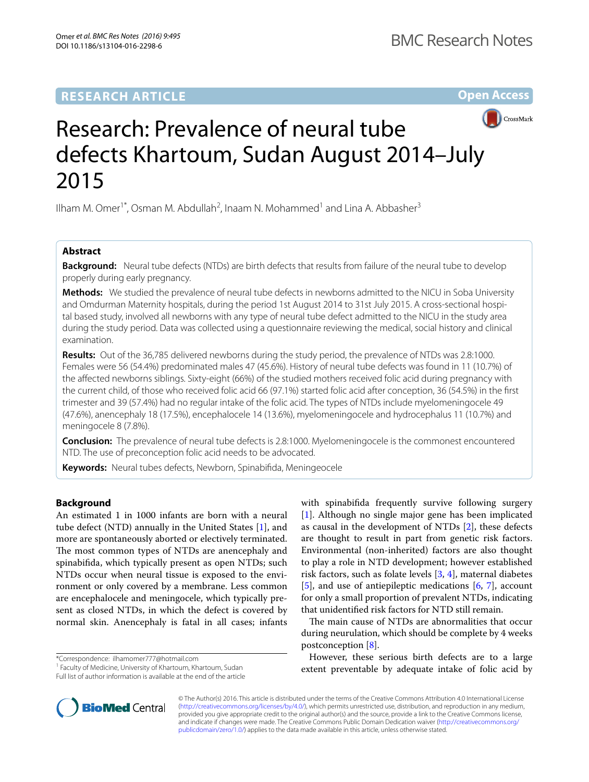# **RESEARCH ARTICLE**

**Open Access**



# Research: Prevalence of neural tube defects Khartoum, Sudan August 2014–July 2015

Ilham M. Omer<sup>1\*</sup>, Osman M. Abdullah<sup>2</sup>, Inaam N. Mohammed<sup>1</sup> and Lina A. Abbasher<sup>3</sup>

# **Abstract**

**Background:** Neural tube defects (NTDs) are birth defects that results from failure of the neural tube to develop properly during early pregnancy.

**Methods:** We studied the prevalence of neural tube defects in newborns admitted to the NICU in Soba University and Omdurman Maternity hospitals, during the period 1st August 2014 to 31st July 2015. A cross-sectional hospital based study, involved all newborns with any type of neural tube defect admitted to the NICU in the study area during the study period. Data was collected using a questionnaire reviewing the medical, social history and clinical examination.

**Results:** Out of the 36,785 delivered newborns during the study period, the prevalence of NTDs was 2.8:1000. Females were 56 (54.4%) predominated males 47 (45.6%). History of neural tube defects was found in 11 (10.7%) of the affected newborns siblings. Sixty-eight (66%) of the studied mothers received folic acid during pregnancy with the current child, of those who received folic acid 66 (97.1%) started folic acid after conception, 36 (54.5%) in the first trimester and 39 (57.4%) had no regular intake of the folic acid. The types of NTDs include myelomeningocele 49 (47.6%), anencephaly 18 (17.5%), encephalocele 14 (13.6%), myelomeningocele and hydrocephalus 11 (10.7%) and meningocele 8 (7.8%).

**Conclusion:** The prevalence of neural tube defects is 2.8:1000. Myelomeningocele is the commonest encountered NTD. The use of preconception folic acid needs to be advocated.

**Keywords:** Neural tubes defects, Newborn, Spinabifida, Meningeocele

# **Background**

An estimated 1 in 1000 infants are born with a neural tube defect (NTD) annually in the United States [\[1](#page-3-0)], and more are spontaneously aborted or electively terminated. The most common types of NTDs are anencephaly and spinabifida, which typically present as open NTDs; such NTDs occur when neural tissue is exposed to the environment or only covered by a membrane. Less common are encephalocele and meningocele, which typically present as closed NTDs, in which the defect is covered by normal skin. Anencephaly is fatal in all cases; infants

\*Correspondence: ilhamomer777@hotmail.com

<sup>1</sup> Faculty of Medicine, University of Khartoum, Khartoum, Sudan

Full list of author information is available at the end of the article

with spinabifida frequently survive following surgery [[1\]](#page-3-0). Although no single major gene has been implicated as causal in the development of NTDs [[2](#page-3-1)], these defects are thought to result in part from genetic risk factors. Environmental (non-inherited) factors are also thought to play a role in NTD development; however established risk factors, such as folate levels [[3](#page-3-2), [4](#page-3-3)], maternal diabetes [[5\]](#page-3-4), and use of antiepileptic medications [\[6](#page-3-5), [7](#page-3-6)], account for only a small proportion of prevalent NTDs, indicating that unidentified risk factors for NTD still remain.

The main cause of NTDs are abnormalities that occur during neurulation, which should be complete by 4 weeks postconception [\[8](#page-3-7)].

However, these serious birth defects are to a large extent preventable by adequate intake of folic acid by



© The Author(s) 2016. This article is distributed under the terms of the Creative Commons Attribution 4.0 International License [\(http://creativecommons.org/licenses/by/4.0/\)](http://creativecommons.org/licenses/by/4.0/), which permits unrestricted use, distribution, and reproduction in any medium, provided you give appropriate credit to the original author(s) and the source, provide a link to the Creative Commons license, and indicate if changes were made. The Creative Commons Public Domain Dedication waiver ([http://creativecommons.org/](http://creativecommons.org/publicdomain/zero/1.0/) [publicdomain/zero/1.0/](http://creativecommons.org/publicdomain/zero/1.0/)) applies to the data made available in this article, unless otherwise stated.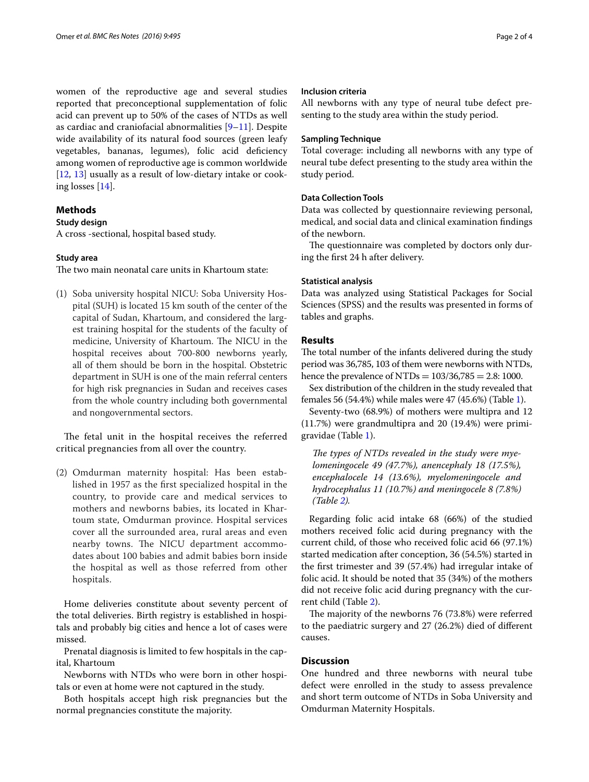women of the reproductive age and several studies reported that preconceptional supplementation of folic acid can prevent up to 50% of the cases of NTDs as well as cardiac and craniofacial abnormalities [\[9](#page-3-8)[–11](#page-3-9)]. Despite wide availability of its natural food sources (green leafy vegetables, bananas, legumes), folic acid deficiency among women of reproductive age is common worldwide [[12,](#page-3-10) [13\]](#page-3-11) usually as a result of low-dietary intake or cooking losses [\[14\]](#page-3-12).

# **Methods**

### **Study design**

A cross -sectional, hospital based study.

# **Study area**

The two main neonatal care units in Khartoum state:

(1) Soba university hospital NICU: Soba University Hospital (SUH) is located 15 km south of the center of the capital of Sudan, Khartoum, and considered the largest training hospital for the students of the faculty of medicine, University of Khartoum. The NICU in the hospital receives about 700-800 newborns yearly, all of them should be born in the hospital. Obstetric department in SUH is one of the main referral centers for high risk pregnancies in Sudan and receives cases from the whole country including both governmental and nongovernmental sectors.

The fetal unit in the hospital receives the referred critical pregnancies from all over the country.

(2) Omdurman maternity hospital: Has been established in 1957 as the first specialized hospital in the country, to provide care and medical services to mothers and newborns babies, its located in Khartoum state, Omdurman province. Hospital services cover all the surrounded area, rural areas and even nearby towns. The NICU department accommodates about 100 babies and admit babies born inside the hospital as well as those referred from other hospitals.

Home deliveries constitute about seventy percent of the total deliveries. Birth registry is established in hospitals and probably big cities and hence a lot of cases were missed.

Prenatal diagnosis is limited to few hospitals in the capital, Khartoum

Newborns with NTDs who were born in other hospitals or even at home were not captured in the study.

Both hospitals accept high risk pregnancies but the normal pregnancies constitute the majority.

### **Inclusion criteria**

All newborns with any type of neural tube defect presenting to the study area within the study period.

# **Sampling Technique**

Total coverage: including all newborns with any type of neural tube defect presenting to the study area within the study period.

# **Data Collection Tools**

Data was collected by questionnaire reviewing personal, medical, and social data and clinical examination findings of the newborn.

The questionnaire was completed by doctors only during the first 24 h after delivery.

### **Statistical analysis**

Data was analyzed using Statistical Packages for Social Sciences (SPSS) and the results was presented in forms of tables and graphs.

# **Results**

The total number of the infants delivered during the study period was 36,785, 103 of them were newborns with NTDs, hence the prevalence of NTDs =  $103/36,785 = 2.8:1000$ .

Sex distribution of the children in the study revealed that females 56 (54.4%) while males were 47 (45.6%) (Table [1\)](#page-2-0).

Seventy-two (68.9%) of mothers were multipra and 12 (11.7%) were grandmultipra and 20 (19.4%) were primigravidae (Table [1](#page-2-0)).

*The types of NTDs revealed in the study were myelomeningocele 49 (47.7%), anencephaly 18 (17.5%), encephalocele 14 (13.6%), myelomeningocele and hydrocephalus 11 (10.7%) and meningocele 8 (7.8%) (Table [2](#page-2-1)).*

Regarding folic acid intake 68 (66%) of the studied mothers received folic acid during pregnancy with the current child, of those who received folic acid 66 (97.1%) started medication after conception, 36 (54.5%) started in the first trimester and 39 (57.4%) had irregular intake of folic acid. It should be noted that 35 (34%) of the mothers did not receive folic acid during pregnancy with the current child (Table [2](#page-2-1)).

The majority of the newborns 76 (73.8%) were referred to the paediatric surgery and 27 (26.2%) died of different causes.

# **Discussion**

One hundred and three newborns with neural tube defect were enrolled in the study to assess prevalence and short term outcome of NTDs in Soba University and Omdurman Maternity Hospitals.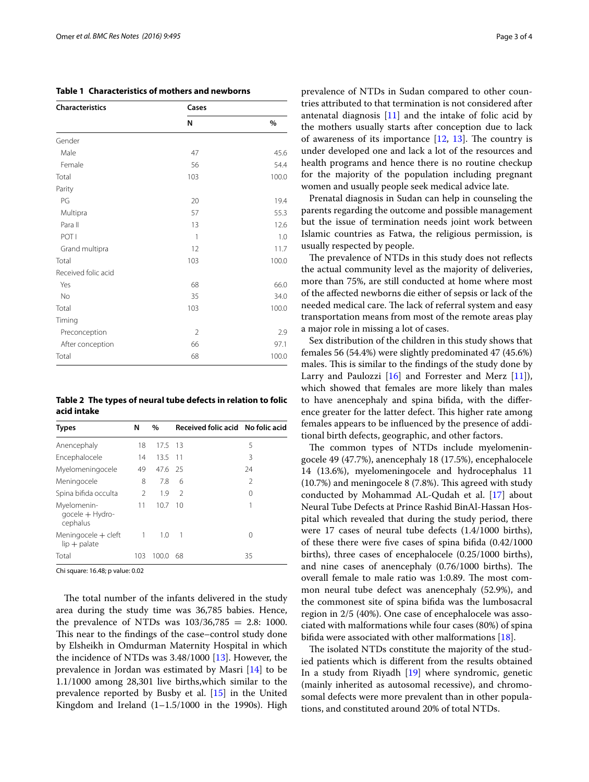<span id="page-2-0"></span>

|  |  |  | Table 1 Characteristics of mothers and newborns |
|--|--|--|-------------------------------------------------|
|--|--|--|-------------------------------------------------|

| <b>Characteristics</b> | Cases          |       |
|------------------------|----------------|-------|
|                        | N              | %     |
| Gender                 |                |       |
| Male                   | 47             | 45.6  |
| Female                 | 56             | 54.4  |
| Total                  | 103            | 100.0 |
| Parity                 |                |       |
| PG                     | 20             | 19.4  |
| Multipra               | 57             | 55.3  |
| Para II                | 13             | 12.6  |
| POT I                  | 1              | 1.0   |
| Grand multipra         | 12             | 11.7  |
| Total                  | 103            | 100.0 |
| Received folic acid    |                |       |
| Yes                    | 68             | 66.0  |
| No                     | 35             | 34.0  |
| Total                  | 103            | 100.0 |
| Timing                 |                |       |
| Preconception          | $\overline{2}$ | 2.9   |
| After conception       | 66             | 97.1  |
| Total                  | 68             | 100.0 |

<span id="page-2-1"></span>**Table 2 The types of neural tube defects in relation to folic acid intake**

| <b>Types</b>                               | N              | $\%$    | Received folic acid No folic acid |    |
|--------------------------------------------|----------------|---------|-----------------------------------|----|
| Anencephaly                                | 18             | 17.5 13 |                                   | 5  |
| Encephalocele                              | 14             | 13.5 11 |                                   | 3  |
| Myelomeningocele                           | 49             | 47.6 25 |                                   | 24 |
| Meningocele                                | 8              | 7.8     | 6                                 | 2  |
| Spina bifida occulta                       | $\mathfrak{D}$ | 1.9     | $\mathcal{L}$                     | 0  |
| Myelomenin-<br>qocele + Hydro-<br>cephalus | 11             | 10.7    | - 10                              | 1  |
| Meningocele + cleft<br>$lip + palate$      | 1              | 1.0     | $\overline{1}$                    | Ω  |
| Total                                      | 103            | 100.0   | 68                                | 35 |

Chi square: 16.48; p value: 0.02

The total number of the infants delivered in the study area during the study time was 36,785 babies. Hence, the prevalence of NTDs was  $103/36,785 = 2.8: 1000$ . This near to the findings of the case–control study done by Elsheikh in Omdurman Maternity Hospital in which the incidence of NTDs was 3.48/1000 [\[13\]](#page-3-11). However, the prevalence in Jordan was estimated by Masri [\[14](#page-3-12)] to be 1.1/1000 among 28,301 live births,which similar to the prevalence reported by Busby et al. [[15\]](#page-3-13) in the United Kingdom and Ireland  $(1-1.5/1000$  in the 1990s). High prevalence of NTDs in Sudan compared to other countries attributed to that termination is not considered after antenatal diagnosis [[11\]](#page-3-9) and the intake of folic acid by the mothers usually starts after conception due to lack of awareness of its importance  $[12, 13]$  $[12, 13]$  $[12, 13]$  $[12, 13]$ . The country is under developed one and lack a lot of the resources and health programs and hence there is no routine checkup for the majority of the population including pregnant women and usually people seek medical advice late.

Prenatal diagnosis in Sudan can help in counseling the parents regarding the outcome and possible management but the issue of termination needs joint work between Islamic countries as Fatwa, the religious permission, is usually respected by people.

The prevalence of NTDs in this study does not reflects the actual community level as the majority of deliveries, more than 75%, are still conducted at home where most of the affected newborns die either of sepsis or lack of the needed medical care. The lack of referral system and easy transportation means from most of the remote areas play a major role in missing a lot of cases.

Sex distribution of the children in this study shows that females 56 (54.4%) were slightly predominated 47 (45.6%) males. This is similar to the findings of the study done by Larry and Paulozzi [\[16\]](#page-3-14) and Forrester and Merz [\[11\]](#page-3-9)), which showed that females are more likely than males to have anencephaly and spina bifida, with the difference greater for the latter defect. This higher rate among females appears to be influenced by the presence of additional birth defects, geographic, and other factors.

The common types of NTDs include myelomeningocele 49 (47.7%), anencephaly 18 (17.5%), encephalocele 14 (13.6%), myelomeningocele and hydrocephalus 11 (10.7%) and meningocele 8 (7.8%). This agreed with study conducted by Mohammad AL-Qudah et al. [[17\]](#page-3-15) about Neural Tube Defects at Prince Rashid BinAl-Hassan Hospital which revealed that during the study period, there were 17 cases of neural tube defects (1.4/1000 births), of these there were five cases of spina bifida (0.42/1000 births), three cases of encephalocele (0.25/1000 births), and nine cases of anencephaly (0.76/1000 births). The overall female to male ratio was 1:0.89. The most common neural tube defect was anencephaly (52.9%), and the commonest site of spina bifida was the lumbosacral region in 2/5 (40%). One case of encephalocele was associated with malformations while four cases (80%) of spina bifida were associated with other malformations [[18](#page-3-16)].

The isolated NTDs constitute the majority of the studied patients which is different from the results obtained In a study from Riyadh [[19\]](#page-3-17) where syndromic, genetic (mainly inherited as autosomal recessive), and chromosomal defects were more prevalent than in other populations, and constituted around 20% of total NTDs.